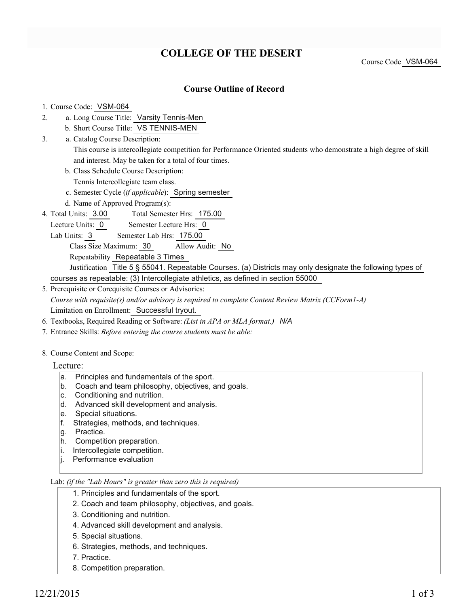## **COLLEGE OF THE DESERT**

### **Course Outline of Record**

#### 1. Course Code: VSM-064

- a. Long Course Title: Varsity Tennis-Men 2.
	- b. Short Course Title: VS TENNIS-MEN
- Catalog Course Description: a. 3.
	- This course is intercollegiate competition for Performance Oriented students who demonstrate a high degree of skill and interest. May be taken for a total of four times.
	- b. Class Schedule Course Description:
	- Tennis Intercollegiate team class.
	- c. Semester Cycle (*if applicable*): Spring semester
	- d. Name of Approved Program(s):
- Total Semester Hrs: 175.00 4. Total Units: 3.00
- Lecture Units: 0 Semester Lecture Hrs: 0
	- Lab Units: 3 Semester Lab Hrs: 175.00
		- Class Size Maximum: 30 Allow Audit: No
		- Repeatability Repeatable 3 Times
	- Justification Title 5 § 55041. Repeatable Courses. (a) Districts may only designate the following types of courses as repeatable: (3) Intercollegiate athletics, as defined in section 55000
- 5. Prerequisite or Corequisite Courses or Advisories: *Course with requisite(s) and/or advisory is required to complete Content Review Matrix (CCForm1-A)* Limitation on Enrollment: Successful tryout.
- 6. Textbooks, Required Reading or Software: *(List in APA or MLA format.) N/A*
- 7. Entrance Skills: *Before entering the course students must be able:*
- 8. Course Content and Scope:
	- Lecture:
		- a. Principles and fundamentals of the sport.
		- b. Coach and team philosophy, objectives, and goals.
		- c. Conditioning and nutrition.
		- d. Advanced skill development and analysis.
		- e. Special situations.
		- f. Strategies, methods, and techniques.
		- g. Practice.
		- h. Competition preparation.
		- i. Intercollegiate competition.
		- j. Performance evaluation

#### Lab: *(if the "Lab Hours" is greater than zero this is required)*

- 1. Principles and fundamentals of the sport.
- 2. Coach and team philosophy, objectives, and goals.
- 3. Conditioning and nutrition.
- 4. Advanced skill development and analysis.
- 5. Special situations.
- 6. Strategies, methods, and techniques.
- 7. Practice.
- 8. Competition preparation.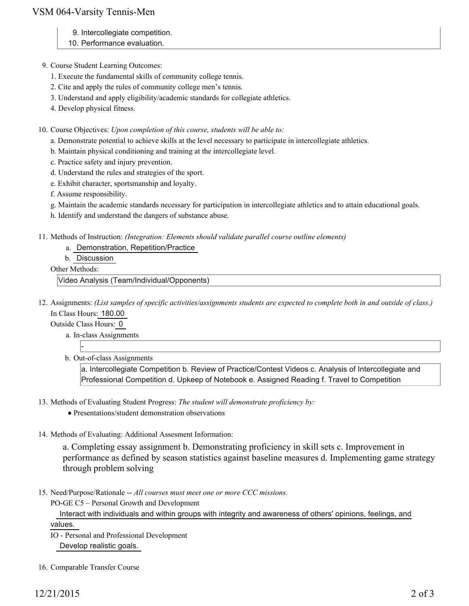## VSM 064-Varsity Tennis-Men

- 9. Intercollegiate competition.
- 10. Performance evaluation.
- 9. Course Student Learning Outcomes:
	- 1. Execute the fundamental skills of community college tennis.
	- 2. Cite and apply the rules of community college men's tennis.
	- 3. Understand and apply eligibility/academic standards for collegiate athletics.
	- 4. Develop physical fitness.

10. Course Objectives: Upon completion of this course, students will be able to:

- a. Demonstrate potential to achieve skills at the level necessary to participate in intercollegiate athletics.
- b. Maintain physical conditioning and training at the intercollegiate level.
- c. Practice safety and injury prevention.
- d. Understand the rules and strategies of the sport.
- e. Exhibit character, sportsmanship and loyalty.
- f. Assume responsibility.
- g. Maintain the academic standards necessary for participation in intercollegiate athletics and to attain educational goals.
- h. Identify and understand the dangers of substance abuse.
- 11. Methods of Instruction: *(Integration: Elements should validate parallel course outline elements)* 
	- a. Demonstration, Repetition/Practice
	- b. Discussion

Other Methods:

Video Analysis (Team/Individual/Opponents)

12. Assignments: (List samples of specific activities/assignments students are expected to complete both in and outside of class.) In Class Hours: 180.00

Outside Class Hours: 0

-

- a. In-class Assignments
- b. Out-of-class Assignments

a. Intercollegiate Competition b. Review of Practice/Contest Videos c. Analysis of Intercollegiate and Professional Competition d. Upkeep of Notebook e. Assigned Reading f. Travel to Competition

- 13. Methods of Evaluating Student Progress: The student will demonstrate proficiency by:
	- Presentations/student demonstration observations
- 14. Methods of Evaluating: Additional Assesment Information:

a. Completing essay assignment b. Demonstrating proficiency in skill sets c. Improvement in performance as defined by season statistics against baseline measures d. Implementing game strategy through problem solving

15. Need/Purpose/Rationale -- All courses must meet one or more CCC missions.

PO-GE C5 – Personal Growth and Development

 Interact with individuals and within groups with integrity and awareness of others' opinions, feelings, and values.

- IO Personal and Professional Development Develop realistic goals.
- 16. Comparable Transfer Course